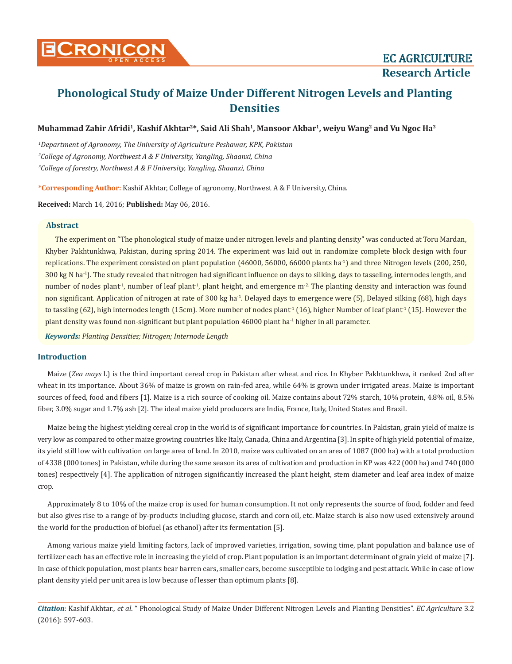# **Muhammad Zahir Afridi1, Kashif Akhtar2\*, Said Ali Shah1, Mansoor Akbar1, weiyu Wang2 and Vu Ngoc Ha3**

*1 Department of Agronomy, The University of Agriculture Peshawar, KPK, Pakistan 2 College of Agronomy, Northwest A & F University, Yangling, Shaanxi, China 3 College of forestry, Northwest A & F University, Yangling, Shaanxi, China*

**\*Corresponding Author:** Kashif Akhtar, College of agronomy, Northwest A & F University, China.

**Received:** March 14, 2016; **Published:** May 06, 2016.

# **Abstract**

The experiment on "The phonological study of maize under nitrogen levels and planting density" was conducted at Toru Mardan, Khyber Pakhtunkhwa, Pakistan, during spring 2014. The experiment was laid out in randomize complete block design with four replications. The experiment consisted on plant population (46000, 56000, 66000 plants ha-1) and three Nitrogen levels (200, 250,  $300 \text{ kg N}$  ha<sup>-1</sup>). The study revealed that nitrogen had significant influence on days to silking, days to tasseling, internodes length, and number of nodes plant<sup>-1</sup>, number of leaf plant<sup>-1</sup>, plant height, and emergence  $m<sup>2</sup>$ . The planting density and interaction was found non significant. Application of nitrogen at rate of 300 kg ha-1. Delayed days to emergence were (5), Delayed silking (68), high days to tassling  $(62)$ , high internodes length (15cm). More number of nodes plant<sup>1</sup> (16), higher Number of leaf plant<sup>1</sup> (15). However the plant density was found non-significant but plant population 46000 plant ha<sup>-1</sup> higher in all parameter.

*Keywords: Planting Densities; Nitrogen; Internode Length*

# **Introduction**

Maize (*Zea mays* L) is the third important cereal crop in Pakistan after wheat and rice. In Khyber Pakhtunkhwa, it ranked 2nd after wheat in its importance. About 36% of maize is grown on rain-fed area, while 64% is grown under irrigated areas. Maize is important sources of feed, food and fibers [1]. Maize is a rich source of cooking oil. Maize contains about 72% starch, 10% protein, 4.8% oil, 8.5% fiber, 3.0% sugar and 1.7% ash [2]. The ideal maize yield producers are India, France, Italy, United States and Brazil.

Maize being the highest yielding cereal crop in the world is of significant importance for countries. In Pakistan, grain yield of maize is very low as compared to other maize growing countries like Italy, Canada, China and Argentina [3]. In spite of high yield potential of maize, its yield still low with cultivation on large area of land. In 2010, maize was cultivated on an area of 1087 (000 ha) with a total production of 4338 (000 tones) in Pakistan, while during the same season its area of cultivation and production in KP was 422 (000 ha) and 740 (000 tones) respectively [4]. The application of nitrogen significantly increased the plant height, stem diameter and leaf area index of maize crop.

Approximately 8 to 10% of the maize crop is used for human consumption. It not only represents the source of food, fodder and feed but also gives rise to a range of by-products including glucose, starch and corn oil, etc. Maize starch is also now used extensively around the world for the production of biofuel (as ethanol) after its fermentation [5].

Among various maize yield limiting factors, lack of improved varieties, irrigation, sowing time, plant population and balance use of fertilizer each has an effective role in increasing the yield of crop. Plant population is an important determinant of grain yield of maize [7]. In case of thick population, most plants bear barren ears, smaller ears, become susceptible to lodging and pest attack. While in case of low plant density yield per unit area is low because of lesser than optimum plants [8].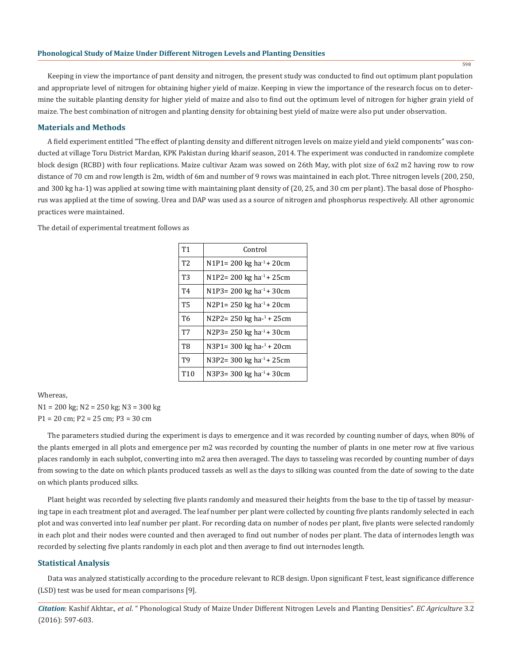Keeping in view the importance of pant density and nitrogen, the present study was conducted to find out optimum plant population and appropriate level of nitrogen for obtaining higher yield of maize. Keeping in view the importance of the research focus on to determine the suitable planting density for higher yield of maize and also to find out the optimum level of nitrogen for higher grain yield of maize. The best combination of nitrogen and planting density for obtaining best yield of maize were also put under observation.

## **Materials and Methods**

A field experiment entitled "The effect of planting density and different nitrogen levels on maize yield and yield components" was conducted at village Toru District Mardan, KPK Pakistan during kharif season, 2014. The experiment was conducted in randomize complete block design (RCBD) with four replications. Maize cultivar Azam was sowed on 26th May, with plot size of 6x2 m2 having row to row distance of 70 cm and row length is 2m, width of 6m and number of 9 rows was maintained in each plot. Three nitrogen levels (200, 250, and 300 kg ha-1) was applied at sowing time with maintaining plant density of (20, 25, and 30 cm per plant). The basal dose of Phosphorus was applied at the time of sowing. Urea and DAP was used as a source of nitrogen and phosphorus respectively. All other agronomic practices were maintained.

| <b>T1</b>       | Control                              |
|-----------------|--------------------------------------|
| T <sub>2</sub>  | N1P1= 200 kg ha <sup>-1</sup> + 20cm |
| T3              | N1P2=200 kg ha <sup>-1</sup> + 25cm  |
| T <sub>4</sub>  | N1P3= 200 kg ha <sup>-1</sup> + 30cm |
| <b>T5</b>       | N2P1= 250 kg ha <sup>-1</sup> + 20cm |
| T <sub>6</sub>  | N2P2=250 kg ha-1+25cm                |
| <b>T7</b>       | N2P3= 250 kg ha <sup>-1</sup> + 30cm |
| T <sub>8</sub>  | N3P1= 300 kg ha- <sup>1</sup> + 20cm |
| T <sub>9</sub>  | N3P2=300 kg ha <sup>-1</sup> + 25cm  |
| T <sub>10</sub> | N3P3= 300 kg ha $^{-1}$ + 30cm       |

The detail of experimental treatment follows as

## Whereas,

N1 = 200 kg; N2 = 250 kg; N3 = 300 kg P1 = 20 cm; P2 = 25 cm; P3 = 30 cm

The parameters studied during the experiment is days to emergence and it was recorded by counting number of days, when 80% of the plants emerged in all plots and emergence per m2 was recorded by counting the number of plants in one meter row at five various places randomly in each subplot, converting into m2 area then averaged. The days to tasseling was recorded by counting number of days from sowing to the date on which plants produced tassels as well as the days to silking was counted from the date of sowing to the date on which plants produced silks.

Plant height was recorded by selecting five plants randomly and measured their heights from the base to the tip of tassel by measuring tape in each treatment plot and averaged. The leaf number per plant were collected by counting five plants randomly selected in each plot and was converted into leaf number per plant. For recording data on number of nodes per plant, five plants were selected randomly in each plot and their nodes were counted and then averaged to find out number of nodes per plant. The data of internodes length was recorded by selecting five plants randomly in each plot and then average to find out internodes length.

#### **Statistical Analysis**

Data was analyzed statistically according to the procedure relevant to RCB design. Upon significant F test, least significance difference (LSD) test was be used for mean comparisons [9].

*Citation*: Kashif Akhtar., *et al*. " Phonological Study of Maize Under Different Nitrogen Levels and Planting Densities". *EC Agriculture* 3.2 (2016): 597-603.

598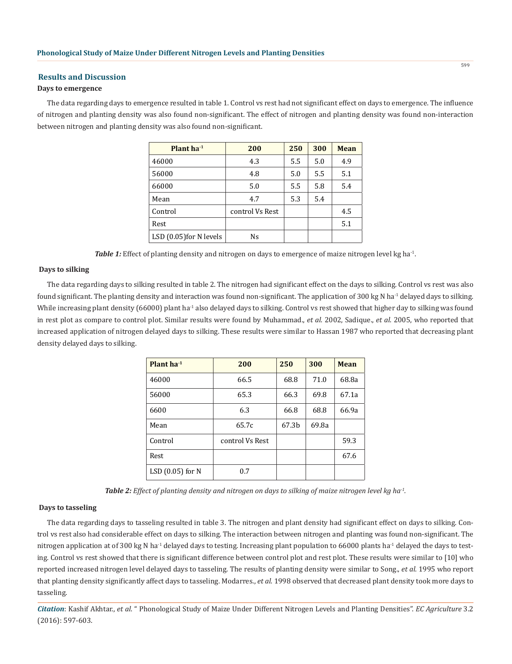#### **Results and Discussion**

## **Days to emergence**

The data regarding days to emergence resulted in table 1. Control vs rest had not significant effect on days to emergence. The influence of nitrogen and planting density was also found non-significant. The effect of nitrogen and planting density was found non-interaction between nitrogen and planting density was also found non-significant.

| Plant $ha^{-1}$           | 200             | 250 | 300 | Mean |
|---------------------------|-----------------|-----|-----|------|
| 46000                     | 4.3             | 5.5 | 5.0 | 4.9  |
| 56000                     | 4.8             | 5.0 | 5.5 | 5.1  |
| 66000                     | 5.0             | 5.5 | 5.8 | 5.4  |
| Mean                      | 4.7             | 5.3 | 5.4 |      |
| Control                   | control Vs Rest |     |     | 4.5  |
| Rest                      |                 |     |     | 5.1  |
| $LSD$ (0.05) for N levels | Ns              |     |     |      |

*Table 1: Effect of planting density and nitrogen on days to emergence of maize nitrogen level kg ha*<sup>-1</sup>.

### **Days to silking**

The data regarding days to silking resulted in table 2. The nitrogen had significant effect on the days to silking. Control vs rest was also found significant. The planting density and interaction was found non-significant. The application of 300 kg N ha<sup>-1</sup> delayed days to silking. While increasing plant density (66000) plant ha<sup>-1</sup> also delayed days to silking. Control vs rest showed that higher day to silking was found in rest plot as compare to control plot. Similar results were found by Muhammad., *et al*. 2002, Sadique., *et al*. 2005, who reported that increased application of nitrogen delayed days to silking. These results were similar to Hassan 1987 who reported that decreasing plant density delayed days to silking.

| Plant $ha^{-1}$    | 200             | 250   | 300   | <b>Mean</b> |
|--------------------|-----------------|-------|-------|-------------|
| 46000              | 66.5            | 68.8  | 71.0  | 68.8a       |
| 56000              | 65.3            | 66.3  | 69.8  | 67.1a       |
| 6600               | 6.3             | 66.8  | 68.8  | 66.9a       |
| Mean               | 65.7c           | 67.3b | 69.8a |             |
| Control            | control Vs Rest |       |       | 59.3        |
| Rest               |                 |       |       | 67.6        |
| LSD $(0.05)$ for N | 0.7             |       |       |             |

*Table 2: Effect of planting density and nitrogen on days to silking of maize nitrogen level kg ha-1.*

#### **Days to tasseling**

The data regarding days to tasseling resulted in table 3. The nitrogen and plant density had significant effect on days to silking. Control vs rest also had considerable effect on days to silking. The interaction between nitrogen and planting was found non-significant. The nitrogen application at of 300 kg N ha<sup>-1</sup> delayed days to testing. Increasing plant population to 66000 plants ha<sup>-1</sup> delayed the days to testing. Control vs rest showed that there is significant difference between control plot and rest plot. These results were similar to [10] who reported increased nitrogen level delayed days to tasseling. The results of planting density were similar to Song., *et al*. 1995 who report that planting density significantly affect days to tasseling. Modarres., *et al*. 1998 observed that decreased plant density took more days to tasseling.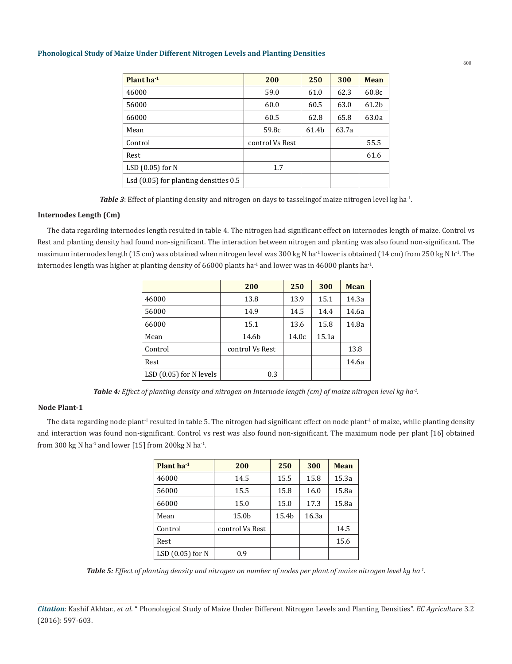| Plant $ha^{-1}$                           | 200             | 250   | 300   | <b>Mean</b> |
|-------------------------------------------|-----------------|-------|-------|-------------|
| 46000                                     | 59.0            | 61.0  | 62.3  | 60.8c       |
| 56000                                     | 60.0            | 60.5  | 63.0  | 61.2b       |
| 66000                                     | 60.5            | 62.8  | 65.8  | 63.0a       |
| Mean                                      | 59.8c           | 61.4b | 63.7a |             |
| Control                                   | control Vs Rest |       |       | 55.5        |
| Rest                                      |                 |       |       | 61.6        |
| LSD $(0.05)$ for N                        | 1.7             |       |       |             |
| Lsd $(0.05)$ for planting densities $0.5$ |                 |       |       |             |

*Table 3*: Effect of planting density and nitrogen on days to tasselingof maize nitrogen level kg ha<sup>-1</sup>.

# **Internodes Length (Cm)**

The data regarding internodes length resulted in table 4. The nitrogen had significant effect on internodes length of maize. Control vs Rest and planting density had found non-significant. The interaction between nitrogen and planting was also found non-significant. The maximum internodes length (15 cm) was obtained when nitrogen level was 300 kg N ha<sup>-1</sup> lower is obtained (14 cm) from 250 kg N h<sup>-1</sup>. The internodes length was higher at planting density of 66000 plants ha<sup>-1</sup> and lower was in 46000 plants ha<sup>-1</sup>.

|                         | 200             | 250   | 300   | Mean  |
|-------------------------|-----------------|-------|-------|-------|
| 46000                   | 13.8            | 13.9  | 15.1  | 14.3a |
| 56000                   | 14.9            | 14.5  | 14.4  | 14.6a |
| 66000                   | 15.1            | 13.6  | 15.8  | 14.8a |
| Mean                    | 14.6b           | 14.0c | 15.1a |       |
| Control                 | control Vs Rest |       |       | 13.8  |
| Rest                    |                 |       |       | 14.6a |
| LSD (0.05) for N levels | 0.3             |       |       |       |

*Table 4: Effect of planting density and nitrogen on Internode length (cm) of maize nitrogen level kg ha-1.*

# **Node Plant-1**

The data regarding node plant<sup>1</sup> resulted in table 5. The nitrogen had significant effect on node plant<sup>1</sup> of maize, while planting density and interaction was found non-significant. Control vs rest was also found non-significant. The maximum node per plant [16] obtained from 300 kg N ha<sup>-1</sup> and lower [15] from 200 kg N ha<sup>-1</sup>.

| Plant $ha^{-1}$    | 200             | 250   | 300   | Mean  |
|--------------------|-----------------|-------|-------|-------|
| 46000              | 14.5            | 15.5  | 15.8  | 15.3a |
| 56000              | 15.5            | 15.8  | 16.0  | 15.8a |
| 66000              | 15.0            | 15.0  | 17.3  | 15.8a |
| Mean               | 15.0b           | 15.4b | 16.3a |       |
| Control            | control Vs Rest |       |       | 14.5  |
| Rest               |                 |       |       | 15.6  |
| LSD $(0.05)$ for N | 0.9             |       |       |       |

*Table 5: Effect of planting density and nitrogen on number of nodes per plant of maize nitrogen level kg ha-1.*

*Citation*: Kashif Akhtar., *et al*. " Phonological Study of Maize Under Different Nitrogen Levels and Planting Densities". *EC Agriculture* 3.2 (2016): 597-603.

600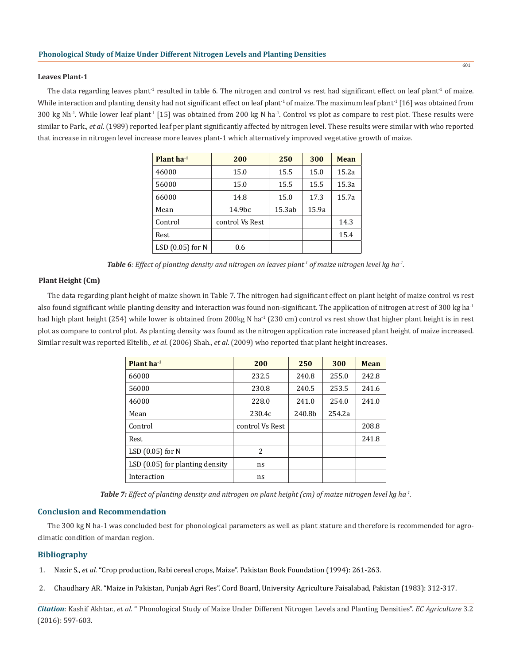#### **Leaves Plant-1**

The data regarding leaves plant<sup>1</sup> resulted in table 6. The nitrogen and control vs rest had significant effect on leaf plant<sup>1</sup> of maize. While interaction and planting density had not significant effect on leaf plant<sup>1</sup> of maize. The maximum leaf plant<sup>1</sup> [16] was obtained from 300 kg Nh<sup>-1</sup>. While lower leaf plant<sup>-1</sup> [15] was obtained from 200 kg N ha<sup>-1</sup>. Control vs plot as compare to rest plot. These results were similar to Park., *et al*. (1989) reported leaf per plant significantly affected by nitrogen level. These results were similar with who reported that increase in nitrogen level increase more leaves plant-1 which alternatively improved vegetative growth of maize.

| Plant $ha^{-1}$    | 200             | 250    | 300   | Mean  |
|--------------------|-----------------|--------|-------|-------|
| 46000              | 15.0            | 15.5   | 15.0  | 15.2a |
| 56000              | 15.0            | 15.5   | 15.5  | 15.3a |
| 66000              | 14.8            | 15.0   | 17.3  | 15.7a |
| Mean               | 14.9bc          | 15.3ab | 15.9a |       |
| Control            | control Vs Rest |        |       | 14.3  |
| Rest               |                 |        |       | 15.4  |
| LSD $(0.05)$ for N | 0.6             |        |       |       |

**Table 6***: Effect of planting density and nitrogen on leaves plant<sup>1</sup> of maize nitrogen level kg ha<sup>-1</sup>.* 

## **Plant Height (Cm)**

The data regarding plant height of maize shown in Table 7. The nitrogen had significant effect on plant height of maize control vs rest also found significant while planting density and interaction was found non-significant. The application of nitrogen at rest of 300 kg ha<sup>-1</sup> had high plant height (254) while lower is obtained from 200kg N ha<sup>-1</sup> (230 cm) control vs rest show that higher plant height is in rest plot as compare to control plot. As planting density was found as the nitrogen application rate increased plant height of maize increased. Similar result was reported Eltelib., *et al*. (2006) Shah., *et al*. (2009) who reported that plant height increases.

| Plant ha-1                        | 200             | 250    | 300    | <b>Mean</b> |
|-----------------------------------|-----------------|--------|--------|-------------|
| 66000                             | 232.5           | 240.8  | 255.0  | 242.8       |
| 56000                             | 230.8           | 240.5  | 253.5  | 241.6       |
| 46000                             | 228.0           | 241.0  | 254.0  | 241.0       |
| Mean                              | 230.4c          | 240.8b | 254.2a |             |
| Control                           | control Vs Rest |        |        | 208.8       |
| Rest                              |                 |        |        | 241.8       |
| LSD $(0.05)$ for N                | 2               |        |        |             |
| LSD $(0.05)$ for planting density | ns              |        |        |             |
| Interaction                       | ns              |        |        |             |

*Table 7: Effect of planting density and nitrogen on plant height (cm) of maize nitrogen level kg ha-1.*

#### **Conclusion and Recommendation**

The 300 kg N ha-1 was concluded best for phonological parameters as well as plant stature and therefore is recommended for agroclimatic condition of mardan region.

## **Bibliography**

- 1. Nazir S., *et al.* "Crop production, Rabi cereal crops, Maize". Pakistan Book Foundation (1994): 261-263.
- 2. Chaudhary AR. "Maize in Pakistan, Punjab Agri Res". Cord Board, University Agriculture Faisalabad, Pakistan (1983): 312-317.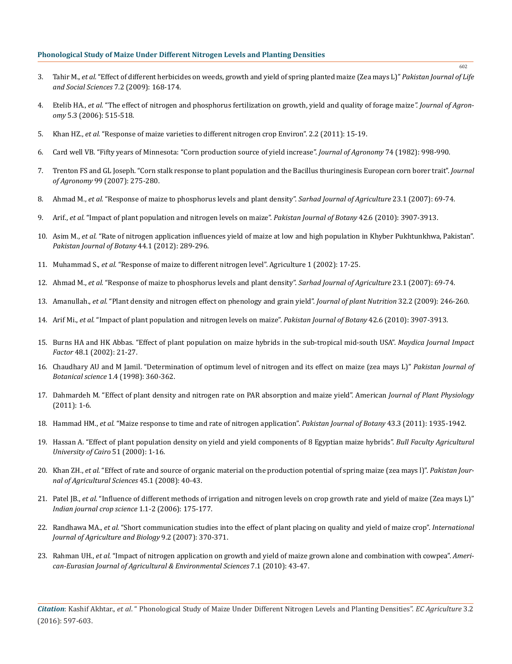- 3. Tahir M., *et al.* "Effect of different herbicides on weeds, growth and yield of spring planted maize (Zea mays L)" *Pakistan Journal of Life and Social Sciences* 7.2 (2009): 168-174.
- 4. Etelib HA., *et al.* "The effect of nitrogen and phosphorus fertilization on growth, yield and quality of forage maize*". Journal of Agronomy* 5.3 (2006): 515-518.
- 5. Khan HZ., *et al.* "Response of maize varieties to different nitrogen crop Environ". 2.2 (2011): 15-19.
- 6. Card well VB. "Fifty years of Minnesota: "Corn production source of yield increase". *Journal of Agronomy* 74 (1982): 998-990.
- 7. Trenton FS and GL Joseph. "Corn stalk response to plant population and the Bacillus thuringinesis European corn borer trait". *Journal of Agronomy* 99 (2007): 275-280.
- 8. Ahmad M., *et al.* "Response of maize to phosphorus levels and plant density". *Sarhad Journal of Agriculture* 23.1 (2007): 69-74.
- 9. Arif., *et al.* "Impact of plant population and nitrogen levels on maize". *Pakistan Journal of Botany* 42.6 (2010): 3907-3913.
- 10. Asim M., *et al.* "Rate of nitrogen application influences yield of maize at low and high population in Khyber Pukhtunkhwa, Pakistan". *Pakistan Journal of Botany* 44.1 (2012): 289-296.
- 11. Muhammad S., *et al.* "Response of maize to different nitrogen level". Agriculture 1 (2002): 17-25.
- 12. Ahmad M., *et al.* "Response of maize to phosphorus levels and plant density". *Sarhad Journal of Agriculture* 23.1 (2007): 69-74.
- 13. Amanullah., *et al.* "Plant density and nitrogen effect on phenology and grain yield". *Journal of plant Nutrition* 32.2 (2009): 246-260.
- 14. Arif Mi., *et al.* "Impact of plant population and nitrogen levels on maize". *Pakistan Journal of Botany* 42.6 (2010): 3907-3913.
- 15. Burns HA and HK Abbas. "Effect of plant population on maize hybrids in the sub-tropical mid-south USA". *[Maydica Journal Impact](https://www.researchgate.net/journal/0025-6153_Maydica)  [Factor](https://www.researchgate.net/journal/0025-6153_Maydica)* 48.1 (2002): 21-27.
- 16. Chaudhary AU and M Jamil. "Determination of optimum level of nitrogen and its effect on maize (zea mays L)" *Pakistan Journal of Botanical science* 1.4 (1998): 360-362.
- 17. Dahmardeh M. "Effect of plant density and nitrogen rate on PAR absorption and maize yield". American *Journal of Plant Physiology* (2011): 1-6.
- 18. Hammad HM., *et al.* "Maize response to time and rate of nitrogen application". *Pakistan Journal of Botany* 43.3 (2011): 1935-1942.
- 19. Hassan A. "Effect of plant population density on yield and yield components of 8 Egyptian maize hybrids". *Bull Faculty Agricultural University of Cairo* 51 (2000): 1-16.
- 20. Khan ZH., *et al.* "Effect of rate and source of organic material on the production potential of spring maize (zea mays l)". *Pakistan Journal of Agricultural Sciences* 45.1 (2008): 40-43.
- 21. Patel JB., *et al.* "Influence of different methods of irrigation and nitrogen levels on crop growth rate and yield of maize (Zea mays L)" *Indian journal crop science* 1.1-2 (2006): 175-177.
- 22. Randhawa MA., *et al.* "Short communication studies into the effect of plant placing on quality and yield of maize crop". *International Journal of Agriculture and Biology* 9.2 (2007): 370-371.
- 23. Rahman UH., *et al.* "Impact of nitrogen application on growth and yield of maize grown alone and combination with cowpea". *American-Eurasian Journal of Agricultural & Environmental Sciences* 7.1 (2010): 43-47.

*Citation*: Kashif Akhtar., *et al*. " Phonological Study of Maize Under Different Nitrogen Levels and Planting Densities". *EC Agriculture* 3.2 (2016): 597-603.

602